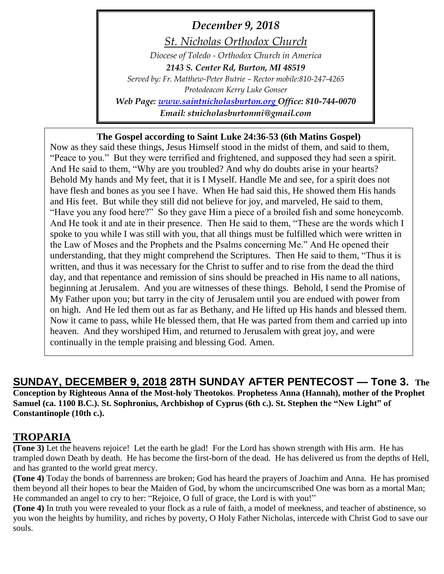*December 9, 2018*

*St. Nicholas Orthodox Church*

*Diocese of Toledo - Orthodox Church in America 2143 S. Center Rd, Burton, MI 48519 Served by: Fr. Matthew-Peter Butrie – Rector mobile:810-247-4265 Protodeacon Kerry Luke Gonser Web Page: [www.saintnicholasburton.org](http://www.saintnicholasburton.org/) Office: 810-744-0070*

*Email: stnicholasburtonmi@gmail.com*

# **The Gospel according to Saint Luke 24:36-53 (6th Matins Gospel)**

Now as they said these things, Jesus Himself stood in the midst of them, and said to them, "Peace to you." But they were terrified and frightened, and supposed they had seen a spirit. And He said to them, "Why are you troubled? And why do doubts arise in your hearts? Behold My hands and My feet, that it is I Myself. Handle Me and see, for a spirit does not have flesh and bones as you see I have. When He had said this, He showed them His hands and His feet. But while they still did not believe for joy, and marveled, He said to them, "Have you any food here?" So they gave Him a piece of a broiled fish and some honeycomb. And He took it and ate in their presence. Then He said to them, "These are the words which I spoke to you while I was still with you, that all things must be fulfilled which were written in the Law of Moses and the Prophets and the Psalms concerning Me." And He opened their understanding, that they might comprehend the Scriptures. Then He said to them, "Thus it is written, and thus it was necessary for the Christ to suffer and to rise from the dead the third day, and that repentance and remission of sins should be preached in His name to all nations, beginning at Jerusalem. And you are witnesses of these things. Behold, I send the Promise of My Father upon you; but tarry in the city of Jerusalem until you are endued with power from on high. And He led them out as far as Bethany, and He lifted up His hands and blessed them. Now it came to pass, while He blessed them, that He was parted from them and carried up into heaven. And they worshiped Him, and returned to Jerusalem with great joy, and were continually in the temple praising and blessing God. Amen.

**SUNDAY, DECEMBER 9, 2018 28TH SUNDAY AFTER PENTECOST — Tone 3. The Conception by Righteous Anna of the Most-holy Theotokos**. **Prophetess Anna (Hannah), mother of the Prophet Samuel (ca. 1100 B.C.). St. Sophronius, Archbishop of Cyprus (6th c.). St. Stephen the "New Light" of Constantinople (10th c.).**

# **TROPARIA**

**(Tone 3)** Let the heavens rejoice! Let the earth be glad! For the Lord has shown strength with His arm. He has trampled down Death by death. He has become the first-born of the dead. He has delivered us from the depths of Hell, and has granted to the world great mercy.

**(Tone 4)** Today the bonds of barrenness are broken; God has heard the prayers of Joachim and Anna. He has promised them beyond all their hopes to bear the Maiden of God, by whom the uncircumscribed One was born as a mortal Man; He commanded an angel to cry to her: "Rejoice, O full of grace, the Lord is with you!"

**(Tone 4)** In truth you were revealed to your flock as a rule of faith, a model of meekness, and teacher of abstinence, so you won the heights by humility, and riches by poverty, O Holy Father Nicholas, intercede with Christ God to save our souls.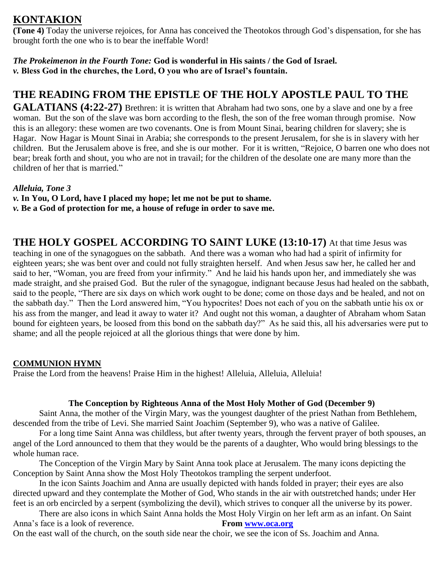# **KONTAKION**

**(Tone 4)** Today the universe rejoices, for Anna has conceived the Theotokos through God's dispensation, for she has brought forth the one who is to bear the ineffable Word!

*The Prokeimenon in the Fourth Tone:* **God is wonderful in His saints / the God of Israel.** *v.* **Bless God in the churches, the Lord, O you who are of Israel's fountain.**

# **THE READING FROM THE EPISTLE OF THE HOLY APOSTLE PAUL TO THE**

**GALATIANS (4:22-27)** Brethren: it is written that Abraham had two sons, one by a slave and one by a free woman. But the son of the slave was born according to the flesh, the son of the free woman through promise. Now this is an allegory: these women are two covenants. One is from Mount Sinai, bearing children for slavery; she is Hagar. Now Hagar is Mount Sinai in Arabia; she corresponds to the present Jerusalem, for she is in slavery with her children. But the Jerusalem above is free, and she is our mother. For it is written, "Rejoice, O barren one who does not bear; break forth and shout, you who are not in travail; for the children of the desolate one are many more than the children of her that is married."

# *Alleluia, Tone 3*

*v.* **In You, O Lord, have I placed my hope; let me not be put to shame.**

*v.* **Be a God of protection for me, a house of refuge in order to save me.**

**THE HOLY GOSPEL ACCORDING TO SAINT LUKE (13:10-17)** At that time Jesus was teaching in one of the synagogues on the sabbath. And there was a woman who had had a spirit of infirmity for eighteen years; she was bent over and could not fully straighten herself. And when Jesus saw her, he called her and said to her, "Woman, you are freed from your infirmity." And he laid his hands upon her, and immediately she was made straight, and she praised God. But the ruler of the synagogue, indignant because Jesus had healed on the sabbath, said to the people, "There are six days on which work ought to be done; come on those days and be healed, and not on the sabbath day." Then the Lord answered him, "You hypocrites! Does not each of you on the sabbath untie his ox or his ass from the manger, and lead it away to water it? And ought not this woman, a daughter of Abraham whom Satan bound for eighteen years, be loosed from this bond on the sabbath day?" As he said this, all his adversaries were put to shame; and all the people rejoiced at all the glorious things that were done by him.

# **COMMUNION HYMN**

Praise the Lord from the heavens! Praise Him in the highest! Alleluia, Alleluia, Alleluia!

# **The Conception by Righteous Anna of the Most Holy Mother of God (December 9)**

Saint Anna, the mother of the Virgin Mary, was the youngest daughter of the priest Nathan from Bethlehem, descended from the tribe of Levi. She married Saint Joachim (September 9), who was a native of Galilee.

For a long time Saint Anna was childless, but after twenty years, through the fervent prayer of both spouses, an angel of the Lord announced to them that they would be the parents of a daughter, Who would bring blessings to the whole human race.

The Conception of the Virgin Mary by Saint Anna took place at Jerusalem. The many icons depicting the Conception by Saint Anna show the Most Holy Theotokos trampling the serpent underfoot.

In the icon Saints Joachim and Anna are usually depicted with hands folded in prayer; their eyes are also directed upward and they contemplate the Mother of God, Who stands in the air with outstretched hands; under Her feet is an orb encircled by a serpent (symbolizing the devil), which strives to conquer all the universe by its power.

There are also icons in which Saint Anna holds the Most Holy Virgin on her left arm as an infant. On Saint Anna's face is a look of reverence. **From [www.oca.org](http://www.oca.org/)** 

On the east wall of the church, on the south side near the choir, we see the icon of Ss. Joachim and Anna.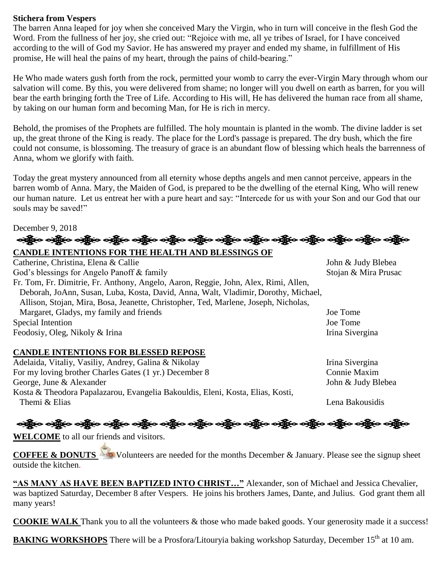### **Stichera from Vespers**

The barren Anna leaped for joy when she conceived Mary the Virgin, who in turn will conceive in the flesh God the Word. From the fullness of her joy, she cried out: "Rejoice with me, all ye tribes of Israel, for I have conceived according to the will of God my Savior. He has answered my prayer and ended my shame, in fulfillment of His promise, He will heal the pains of my heart, through the pains of child-bearing."

He Who made waters gush forth from the rock, permitted your womb to carry the ever-Virgin Mary through whom our salvation will come. By this, you were delivered from shame; no longer will you dwell on earth as barren, for you will bear the earth bringing forth the Tree of Life. According to His will, He has delivered the human race from all shame, by taking on our human form and becoming Man, for He is rich in mercy.

Behold, the promises of the Prophets are fulfilled. The holy mountain is planted in the womb. The divine ladder is set up, the great throne of the King is ready. The place for the Lord's passage is prepared. The dry bush, which the fire could not consume, is blossoming. The treasury of grace is an abundant flow of blessing which heals the barrenness of Anna, whom we glorify with faith.

Today the great mystery announced from all eternity whose depths angels and men cannot perceive, appears in the barren womb of Anna. Mary, the Maiden of God, is prepared to be the dwelling of the eternal King, Who will renew our human nature. Let us entreat her with a pure heart and say: "Intercede for us with your Son and our God that our souls may be saved!"

 $D$ ecember 9, 2018<br>- <del>නමු</del>ිද**ං නමුිදං නමුිදං නමුිදං නමුිදං නමුිදං නමුිදං නමුිදං නමුිදං නමුිදං නමුිදං නමු දෙන නමු දෙනමු වෙමුද** 

# **CANDLE INTENTIONS FOR THE HEALTH AND BLESSINGS OF**

Catherine, Christina, Elena & Callie John & Judy Blebea God's blessings for Angelo Panoff & family Stojan & Mira Prusac Fr. Tom, Fr. Dimitrie, Fr. Anthony, Angelo, Aaron, Reggie, John, Alex, Rimi, Allen, Deborah, JoAnn, Susan, Luba, Kosta, David, Anna, Walt, Vladimir, Dorothy, Michael, Allison, Stojan, Mira, Bosa, Jeanette, Christopher, Ted, Marlene, Joseph, Nicholas, Margaret, Gladys, my family and friends Joe Tome Special Intention Joe Tome Feodosiy, Oleg, Nikoly & Irina Irina Sivergina

#### **CANDLE INTENTIONS FOR BLESSED REPOSE**

Adelaida, Vitaliy, Vasiliy, Andrey, Galina & Nikolay Irina Sivergina For my loving brother Charles Gates (1 yr.) December 8 Connie Maxim George, June & Alexander John & Judy Blebea Kosta & Theodora Papalazarou, Evangelia Bakouldis, Eleni, Kosta, Elias, Kosti, Themi & Elias Lena Bakousidis Lena Bakousidis

့<br>တန္တိုးဝ တန္တြိုးဝ တန္တြိုးဝ တန္တြိုးဝ တန္သြားဝ တန္သြားဝ တန္သြား တန္သိုလ တန္သြားဝ တန္သြားဝ တန္သြားဝ တန္သြားဝ

**WELCOME** to all our friends and visitors.

**COFFEE & DONUTS** Volunteers are needed for the months December & January. Please see the signup sheet outside the kitchen.

**"AS MANY AS HAVE BEEN BAPTIZED INTO CHRIST…"** Alexander, son of Michael and Jessica Chevalier, was baptized Saturday, December 8 after Vespers. He joins his brothers James, Dante, and Julius. God grant them all many years!

**COOKIE WALK** Thank you to all the volunteers & those who made baked goods. Your generosity made it a success!

BAKING WORKSHOPS There will be a Prosfora/Litouryia baking workshop Saturday, December 15<sup>th</sup> at 10 am.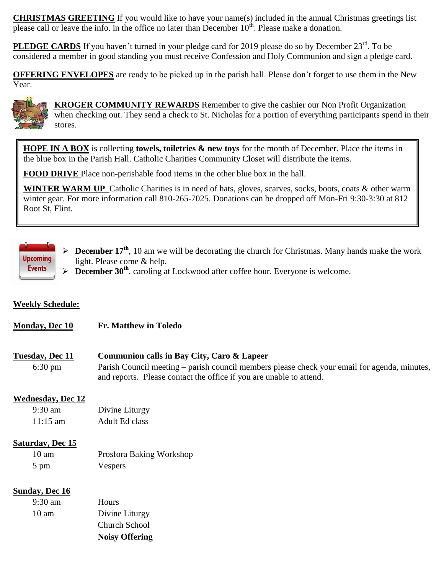**CHRISTMAS GREETING** If you would like to have your name(s) included in the annual Christmas greetings list please call or leave the info. in the office no later than December  $10^{th}$ . Please make a donation.

PLEDGE CARDS If you haven't turned in your pledge card for 2019 please do so by December 23<sup>rd</sup>. To be considered a member in good standing you must receive Confession and Holy Communion and sign a pledge card.

**OFFERING ENVELOPES** are ready to be picked up in the parish hall. Please don't forget to use them in the New Year.



 **KROGER COMMUNITY REWARDS** Remember to give the cashier our Non Profit Organization when checking out. They send a check to St. Nicholas for a portion of everything participants spend in their stores.

**HOPE IN A BOX** is collecting **towels, toiletries & new toys** for the month of December. Place the items in the blue box in the Parish Hall. Catholic Charities Community Closet will distribute the items.

**FOOD DRIVE** Place non-perishable food items in the other blue box in the hall.

**WINTER WARM UP** Catholic Charities is in need of hats, gloves, scarves, socks, boots, coats & other warm winter gear. For more information call 810-265-7025. Donations can be dropped off Mon-Fri 9:30-3:30 at 812 Root St, Flint.



**December 17<sup>th</sup>**, 10 am we will be decorating the church for Christmas. Many hands make the work light. Please come & help.

**December 30<sup>th</sup>**, caroling at Lockwood after coffee hour. Everyone is welcome.

# **Weekly Schedule:**

| <b>Monday, Dec 10</b><br><b>Fr. Matthew in Toledo</b> |
|-------------------------------------------------------|
|-------------------------------------------------------|

# **Tuesday, Dec 11 Communion calls in Bay City, Caro & Lapeer**

6:30 pm Parish Council meeting – parish council members please check your email for agenda, minutes, and reports. Please contact the office if you are unable to attend.

# **Wednesday, Dec 12**

| 9:30 am            | Divine Liturgy |
|--------------------|----------------|
| $11:15 \text{ am}$ | Adult Ed class |

#### **Saturday, Dec 15**

10 am Prosfora Baking Workshop 5 pm Vespers

#### **Sunday, Dec 16**

|                   | <b>Noisy Offering</b> |
|-------------------|-----------------------|
|                   | Church School         |
| 10 am             | Divine Liturgy        |
| $9:30 \text{ am}$ | <b>Hours</b>          |